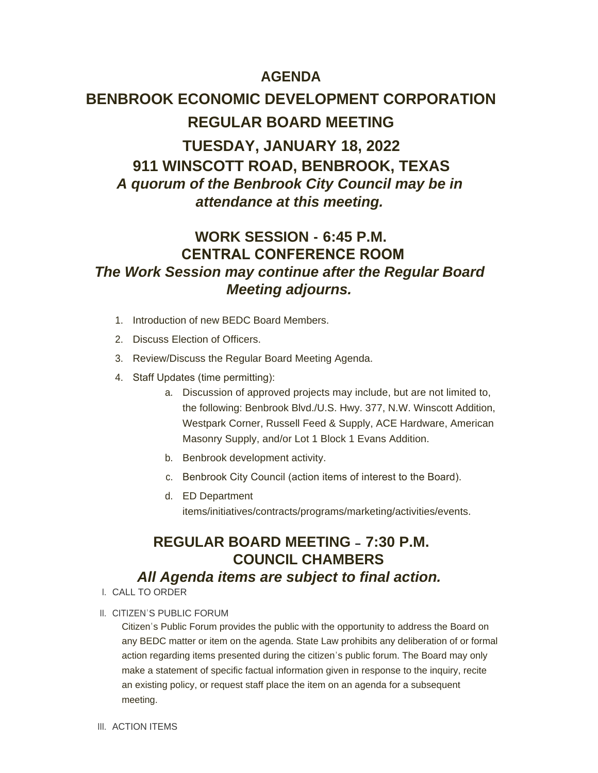### **AGENDA**

# **BENBROOK ECONOMIC DEVELOPMENT CORPORATION REGULAR BOARD MEETING TUESDAY, JANUARY 18, 2022 911 WINSCOTT ROAD, BENBROOK, TEXAS** *A quorum of the Benbrook City Council may be in attendance at this meeting.*

## **WORK SESSION - 6:45 P.M. CENTRAL CONFERENCE ROOM** *The Work Session may continue after the Regular Board Meeting adjourns.*

- 1. Introduction of new BEDC Board Members.
- 2. Discuss Election of Officers.
- 3. Review/Discuss the Regular Board Meeting Agenda.
- 4. Staff Updates (time permitting):
	- a. Discussion of approved projects may include, but are not limited to, the following: Benbrook Blvd./U.S. Hwy. 377, N.W. Winscott Addition, Westpark Corner, Russell Feed & Supply, ACE Hardware, American Masonry Supply, and/or Lot 1 Block 1 Evans Addition.
	- b. Benbrook development activity.
	- c. Benbrook City Council (action items of interest to the Board).
	- d. ED Department items/initiatives/contracts/programs/marketing/activities/events.

### **REGULAR BOARD MEETING – 7:30 P.M. COUNCIL CHAMBERS** *All Agenda items are subject to final action.*

- CALL TO ORDER I.
- II. CITIZEN'S PUBLIC FORUM

Citizen's Public Forum provides the public with the opportunity to address the Board on any BEDC matter or item on the agenda. State Law prohibits any deliberation of or formal action regarding items presented during the citizen's public forum. The Board may only make a statement of specific factual information given in response to the inquiry, recite an existing policy, or request staff place the item on an agenda for a subsequent meeting.

III. ACTION ITEMS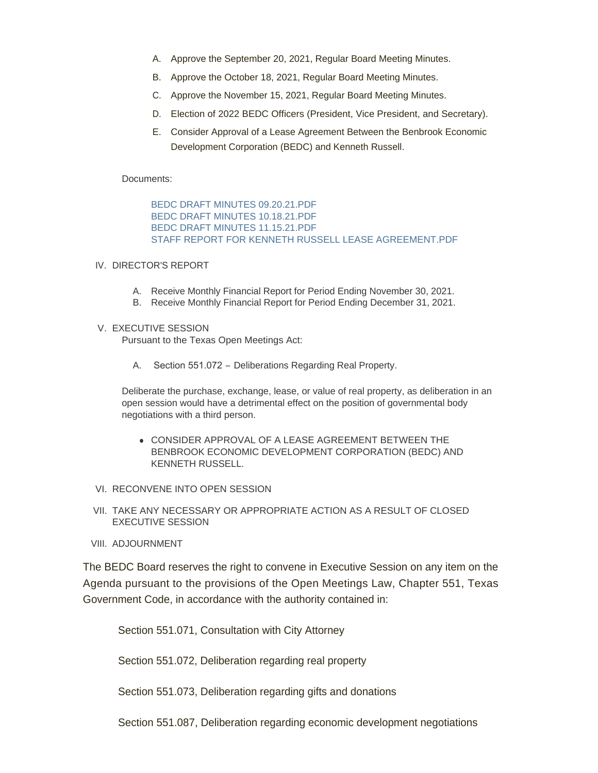- A. Approve the September 20, 2021, Regular Board Meeting Minutes.
- B. Approve the October 18, 2021, Regular Board Meeting Minutes.
- C. Approve the November 15, 2021, Regular Board Meeting Minutes.
- D. Election of 2022 BEDC Officers (President, Vice President, and Secretary).
- E. Consider Approval of a Lease Agreement Between the Benbrook Economic Development Corporation (BEDC) and Kenneth Russell.

### Documents:

[BEDC DRAFT MINUTES 09.20.21.PDF](http://www.benbrook-tx.gov/AgendaCenter/ViewFile/Item/6508?fileID=5020) [BEDC DRAFT MINUTES 10.18.21.PDF](http://www.benbrook-tx.gov/AgendaCenter/ViewFile/Item/6508?fileID=5021) [BEDC DRAFT MINUTES 11.15.21.PDF](http://www.benbrook-tx.gov/AgendaCenter/ViewFile/Item/6508?fileID=5022) [STAFF REPORT FOR KENNETH RUSSELL LEASE AGREEMENT.PDF](http://www.benbrook-tx.gov/AgendaCenter/ViewFile/Item/6508?fileID=5023)

### IV. DIRECTOR'S REPORT

- A. Receive Monthly Financial Report for Period Ending November 30, 2021.
- B. Receive Monthly Financial Report for Period Ending December 31, 2021.

### V. EXECUTIVE SESSION

Pursuant to the Texas Open Meetings Act:

A. Section 551.072 – Deliberations Regarding Real Property.

Deliberate the purchase, exchange, lease, or value of real property, as deliberation in an open session would have a detrimental effect on the position of governmental body negotiations with a third person.

- **CONSIDER APPROVAL OF A LEASE AGREEMENT BETWEEN THE** BENBROOK ECONOMIC DEVELOPMENT CORPORATION (BEDC) AND KENNETH RUSSELL.
- VI. RECONVENE INTO OPEN SESSION
- VII. TAKE ANY NECESSARY OR APPROPRIATE ACTION AS A RESULT OF CLOSED EXECUTIVE SESSION
- VIII. ADJOURNMENT

The BEDC Board reserves the right to convene in Executive Session on any item on the Agenda pursuant to the provisions of the Open Meetings Law, Chapter 551, Texas Government Code, in accordance with the authority contained in:

Section 551.071, Consultation with City Attorney

Section 551.072, Deliberation regarding real property

Section 551.073, Deliberation regarding gifts and donations

Section 551.087, Deliberation regarding economic development negotiations